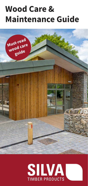# **Wood Care & Maintenance Guide**



# **SILVA TIMBER PRODUCTS**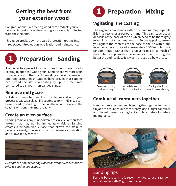# **Getting the best from your exterior wood**

Congratulations! By ordering wood care products you've taken an important step in ensuring your wood is protected from the elements.

This guide breaks down the wood protection routine into three stages - Preparation, Application and Maintenance.



# **Preparation - Sanding**

The secret to a perfect finish is to sand the surface prior to coating to open the wood grain. Sanding allows more stain to penetrate into the wood, providing an even, consistent and long-lasting finish. Studies have proven that sanding can extend the life of a coating by up to three times compared to a smooth non-sanded surface.

#### **Remove mill glaze**

Mill glaze occurs when heat from the planing and kiln drying processes causes a glaze-like coating to form. Mill glaze can be removed by sanding to open up the wood surface so the coating will penetrate more readily.

#### **Create an even surface**

Sanding removes any minor differences in level and surface texture that may not be immediately visible. Sanding creates a smooth flat surface that allows the stain to penetrate evenly, prevents dirt and moisture accumulation and allows for even wear.



*Example of a patchy coating where the timber was not sanded prior to coating application.*



## **'Agitating' the coating**

The organic compounds within the coating may separate if left to rest over a period of time. This can leave active deposits at the base of the tin which need to be thoroughly mixed in to obtain optimal results. Before applying, ensure you agitate the contents at the base of the tin with a drill mixer, or a broad stick of aproximately 25-50mm. Mix in a random motion rather than circular to mix in as much of the contents as possible - the longer you spend mixing, the better the end result so it is worth the extra elbow-grease!





bottom of the tin



Colour of coating before mixing

Coating should be smooth in consistency

#### **Combine all containers together**

Manufacturers recommend blending tins together for multitin jobs to ensure colour consistency. Use a larger container and decant unused coating back into tins to store for future maintenance.



Sanding tips For the best results it is recommended to use a random orbital sander with 60 grit sandpaper.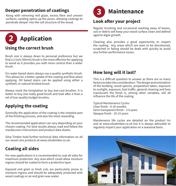#### **Deeper penetration of coatings**

Along with removing mill glaze, excess fibre and uneven **3** surfaces, sanding opens up the pores, allowing coatings to penetrate deeper into the cell structure of the wood.

## **Application 2**

#### **Using the correct brush**

Brush size is always down to personal preference but we find a 2 inch (50mm) brush is the most effective for applying to wood as it provides you with more control than a wider brush.

For water based stains always use a quality synthetic brush. This allows for a better uptake of the coating and flow when applying. Oil based stains can be applied using either a synthetic or natural bristled brush.

Always resist the temptation to buy low-cost brushes. It is better to buy one really good brush and look after it than a set of low-quality budget brushes.

### **Applying the coating**

Generally the application of the coating is the simplest part of the finishing process, and also the most rewarding.

The recommended application can vary depending on your chosen coating. For best results always read and follow the maufacurers instructions and product data sheets.

Silva Timber hold further technical data information on all our wood care products at www.silvatimber.co.uk.

### **Coating all sides**

For new applications it is recommended to coat all sides for maximum protection. Any area which could allow moisture ingress should be coated to form a protective layer.

Exposed end grain or fresh cuts are particularly prone to moisture ingress and should be adequately protected with wood coatings or an end grain wax sealer.



#### **Look after your project**

Regular brushing and occasional washing away of leaves, soil or debris will keep your wood surface clean and defend against algae growth.

Cleaning also provides a good opportunity to inspect the coating. Any areas which are seen to be discoloured, scratched or failing should be dealt with quickly to avoid any further performance issues.

#### **How long will it last?**

This is a difficult question to answer as there are so many factors to take into consideration. The design and orientation of the building, wood species, preparation taken, exposure to sunlight, exposure, foot traffic, general cleaning and how translucent the finish is, among other variables, will all influence the life of the coating.

Typical Maintenance Cycles: Clear finish - 9-18 months Semi transparent finish - 3-6 years Opaque finish - 10-15 years

Maintenance life cycles are detailed on the product tin and at www.silvatimber.co.uk but it is always advisable to regularly inspect your application on a seasonal basis.